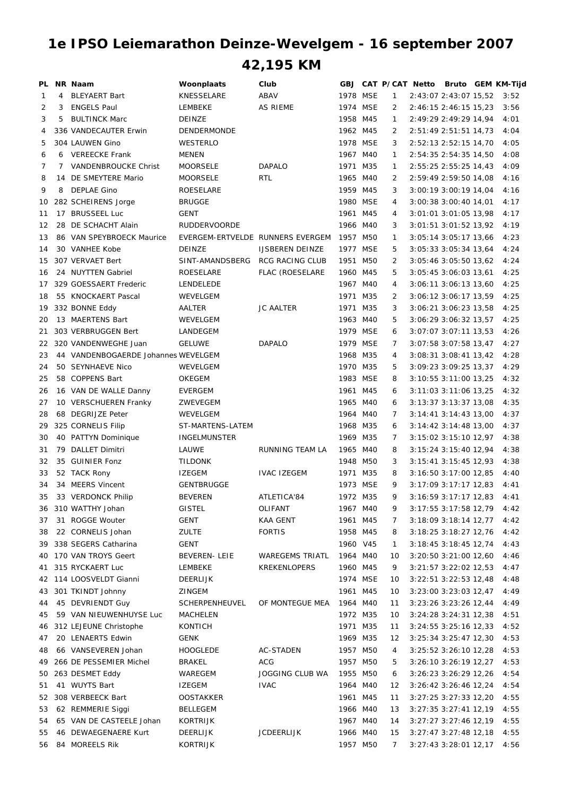## **1e IPSO Leiemarathon Deinze-Wevelgem - 16 september 2007**

## **42,195 KM**

|    |    | PL NR Naam                          | Woonplaats                       | Club                   |          |     |    | GBJ CAT P/CAT Netto Bruto GEM KM-Tijd |                             |      |
|----|----|-------------------------------------|----------------------------------|------------------------|----------|-----|----|---------------------------------------|-----------------------------|------|
| -1 | 4  | <b>BLEYAERT Bart</b>                | KNESSELARE                       | ABAV                   | 1978 MSE |     | -1 |                                       | 2:43:07 2:43:07 15,52       | 3:52 |
| 2  | 3  | <b>ENGELS Paul</b>                  | LEMBEKE                          | <b>AS RIEME</b>        | 1974 MSE |     | 2  |                                       | 2:46:15 2:46:15 15,23       | 3:56 |
| 3  | 5  | <b>BULTINCK Marc</b>                | DEINZE                           |                        | 1958 M45 |     | 1  |                                       | 2:49:29 2:49:29 14,94       | 4:01 |
| 4  |    | 336 VANDECAUTER Erwin               | DENDERMONDE                      |                        | 1962 M45 |     | 2  |                                       | 2:51:49 2:51:51 14,73       | 4:04 |
| 5  |    | 304 LAUWEN Gino                     | WESTERLO                         |                        | 1978 MSE |     | 3  |                                       | 2:52:13 2:52:15 14,70       | 4:05 |
| 6  |    | 6 VEREECKE Frank                    | MENEN                            |                        | 1967 M40 |     | 1  |                                       | 2:54:35 2:54:35 14,50       | 4:08 |
| 7  | 7  | <b>VANDENBROUCKE Christ</b>         | <b>MOORSELE</b>                  | DAPALO                 | 1971 M35 |     | 1  |                                       | 2:55:25 2:55:25 14,43       | 4:09 |
| 8  | 14 | DE SMEYTERE Mario                   | MOORSELE                         | <b>RTL</b>             | 1965 M40 |     | 2  |                                       | 2:59:49 2:59:50 14,08       | 4:16 |
| 9  | 8  | <b>DEPLAE Gino</b>                  | ROESELARE                        |                        | 1959 M45 |     | 3  |                                       | 3:00:19 3:00:19 14,04       | 4:16 |
| 10 |    | 282 SCHEIRENS Jorge                 | <b>BRUGGE</b>                    |                        | 1980 MSE |     | 4  |                                       | 3:00:38 3:00:40 14,01       | 4:17 |
| 11 |    | 17 BRUSSEEL Luc                     | GENT                             |                        | 1961 M45 |     | 4  |                                       | 3:01:01 3:01:05 13,98       | 4:17 |
| 12 | 28 | DE SCHACHT Alain                    | <b>RUDDERVOORDE</b>              |                        | 1966 M40 |     | 3  |                                       | 3:01:51 3:01:52 13,92       | 4:19 |
| 13 |    | 86 VAN SPEYBROECK Maurice           | EVERGEM-ERTVELDE RUNNERS EVERGEM |                        | 1957 M50 |     | 1  |                                       | 3:05:14 3:05:17 13,66       | 4:23 |
| 14 |    | 30 VANHEE Kobe                      | DEINZE                           | <b>IJSBEREN DEINZE</b> | 1977 MSE |     | 5  |                                       | 3:05:33 3:05:34 13,64       | 4:24 |
| 15 |    | 307 VERVAET Bert                    | SINT-AMANDSBERG                  | RCG RACING CLUB        | 1951     | M50 | 2  |                                       | 3:05:46 3:05:50 13,62       | 4:24 |
| 16 |    | 24 NUYTTEN Gabriel                  | <b>ROESELARE</b>                 | <b>FLAC (ROESELARE</b> | 1960 M45 |     | 5  |                                       | 3:05:45 3:06:03 13,61       | 4:25 |
| 17 |    | 329 GOESSAERT Frederic              | LENDELEDE                        |                        | 1967 M40 |     | 4  |                                       | 3:06:11 3:06:13 13,60       | 4:25 |
| 18 |    | 55 KNOCKAERT Pascal                 | WEVELGEM                         |                        | 1971 M35 |     | 2  |                                       | 3:06:12 3:06:17 13,59       | 4:25 |
| 19 |    | 332 BONNE Eddy                      | AALTER                           | <b>JC AALTER</b>       | 1971     | M35 | 3  |                                       | 3:06:21 3:06:23 13,58       | 4:25 |
| 20 |    | 13 MAERTENS Bart                    | WEVELGEM                         |                        | 1963 M40 |     | 5  |                                       | 3:06:29 3:06:32 13,57       | 4:25 |
| 21 |    | 303 VERBRUGGEN Bert                 | LANDEGEM                         |                        | 1979 MSE |     | 6  |                                       | 3:07:07 3:07:11 13,53       | 4:26 |
| 22 |    | 320 VANDENWEGHE Juan                | <b>GELUWE</b>                    | <b>DAPALO</b>          | 1979 MSE |     | 7  |                                       | 3:07:58 3:07:58 13,47       | 4:27 |
| 23 |    | 44 VANDENBOGAERDE Johannes WEVELGEM |                                  |                        | 1968 M35 |     | 4  |                                       | 3:08:31 3:08:41 13,42       | 4:28 |
| 24 |    | 50 SEYNHAEVE Nico                   | WEVELGEM                         |                        | 1970 M35 |     | 5  |                                       | 3:09:23 3:09:25 13,37       | 4:29 |
| 25 |    | 58 COPPENS Bart                     | <b>OKEGEM</b>                    |                        | 1983 MSE |     | 8  |                                       | 3:10:55 3:11:00 13,25       | 4:32 |
| 26 |    | 16 VAN DE WALLE Danny               | EVERGEM                          |                        | 1961 M45 |     | 6  |                                       | 3:11:03 3:11:06 13,25       | 4:32 |
| 27 |    | 10 VERSCHUEREN Franky               | ZWEVEGEM                         |                        | 1965 M40 |     | 6  |                                       | 3:13:37 3:13:37 13,08       | 4:35 |
| 28 |    | 68 DEGRIJZE Peter                   | WEVELGEM                         |                        | 1964 M40 |     | 7  |                                       | 3:14:41 3:14:43 13,00       | 4:37 |
| 29 |    | 325 CORNELIS Filip                  | ST-MARTENS-LATEM                 |                        | 1968 M35 |     | 6  |                                       | 3:14:42 3:14:48 13,00       | 4:37 |
| 30 |    | 40 PATTYN Dominique                 | <b>INGELMUNSTER</b>              |                        | 1969 M35 |     | 7  |                                       | 3:15:02 3:15:10 12,97       | 4:38 |
| 31 |    | 79 DALLET Dimitri                   | LAUWE                            | RUNNING TEAM LA        | 1965 M40 |     | 8  |                                       | 3:15:24 3:15:40 12,94       | 4:38 |
| 32 |    | 35 GUINIER Fonz                     | <b>TILDONK</b>                   |                        | 1948 M50 |     | 3  |                                       | 3:15:41 3:15:45 12,93       | 4:38 |
| 33 |    | 52 TACK Rony                        | <b>IZEGEM</b>                    | <b>IVAC IZEGEM</b>     | 1971 M35 |     | 8  |                                       | 3:16:50 3:17:00 12,85       | 4:40 |
| 34 |    | 34 MEERS Vincent                    | <b>GENTBRUGGE</b>                |                        | 1973 MSE |     | 9  |                                       | 3:17:09 3:17:17 12,83       | 4:41 |
| 35 |    | 33 VERDONCK Philip                  | <b>BEVEREN</b>                   | ATLETICA'84            | 1972 M35 |     | 9  |                                       | 3:16:59 3:17:17 12,83       | 4:41 |
| 36 |    | 310 WATTHY Johan                    | GISTEL                           | OLIFANT                | 1967 M40 |     | 9  |                                       | 3:17:55 3:17:58 12,79       | 4:42 |
| 37 |    | 31 ROGGE Wouter                     | GENT                             | KAA GENT               | 1961 M45 |     | 7  |                                       | 3:18:09 3:18:14 12,77       | 4:42 |
| 38 |    | 22 CORNELIS Johan                   | ZULTE                            | <b>FORTIS</b>          | 1958 M45 |     | 8  |                                       | 3:18:25 3:18:27 12,76       | 4:42 |
| 39 |    | 338 SEGERS Catharina                | GENT                             |                        | 1960 V45 |     | 1  |                                       | 3:18:45 3:18:45 12,74       | 4:43 |
|    |    | 40 170 VAN TROYS Geert              | BEVEREN-LEIE                     | WAREGEMS TRIATL        | 1964 M40 |     | 10 |                                       | 3:20:50 3:21:00 12,60       | 4:46 |
| 41 |    | 315 RYCKAERT Luc                    | LEMBEKE                          | <b>KREKENLOPERS</b>    | 1960 M45 |     | 9  |                                       | 3:21:57 3:22:02 12,53       | 4:47 |
|    |    | 42 114 LOOSVELDT Gianni             | DEERLIJK                         |                        | 1974 MSE |     | 10 |                                       | 3:22:51 3:22:53 12,48       | 4:48 |
| 43 |    | 301 TKINDT Johnny                   | ZINGEM                           |                        | 1961 M45 |     | 10 |                                       | 3:23:00 3:23:03 12,47       | 4:49 |
| 44 |    | 45 DEVRIENDT Guy                    | SCHERPENHEUVEL                   | OF MONTEGUE MEA        | 1964 M40 |     | 11 |                                       | 3:23:26 3:23:26 12,44       | 4:49 |
| 45 |    | 59 VAN NIEUWENHUYSE Luc             | MACHELEN                         |                        | 1972 M35 |     | 10 |                                       | 3:24:28 3:24:31 12,38       | 4:51 |
| 46 |    | 312 LEJEUNE Christophe              | <b>KONTICH</b>                   |                        | 1971 M35 |     | 11 |                                       | $3:24:55$ $3:25:16$ 12,33   | 4:52 |
| 47 |    | 20 LENAERTS Edwin                   | GENK                             |                        | 1969 M35 |     | 12 |                                       | 3:25:34 3:25:47 12,30       | 4:53 |
| 48 |    | 66 VANSEVEREN Johan                 | HOOGLEDE                         | <b>AC-STADEN</b>       | 1957 M50 |     | 4  |                                       | $3:25:52$ $3:26:10$ $12,28$ | 4:53 |
| 49 |    | 266 DE PESSEMIER Michel             | <b>BRAKEL</b>                    | ACG                    | 1957 M50 |     | 5  |                                       | 3:26:10 3:26:19 12,27       | 4:53 |
| 50 |    | 263 DESMET Eddy                     | WAREGEM                          | JOGGING CLUB WA        | 1955 M50 |     | 6  |                                       | 3:26:23 3:26:29 12,26       | 4:54 |
| 51 |    | 41 WUYTS Bart                       | IZEGEM                           | <b>IVAC</b>            | 1964 M40 |     | 12 |                                       | 3:26:42 3:26:46 12,24       | 4:54 |
| 52 |    | 308 VERBEECK Bart                   | OOSTAKKER                        |                        | 1961 M45 |     | 11 |                                       | 3:27:25 3:27:33 12,20       | 4:55 |
| 53 |    | 62 REMMERIE Siggi                   | <b>BELLEGEM</b>                  |                        | 1966 M40 |     | 13 |                                       | 3:27:35 3:27:41 12,19       | 4:55 |
| 54 |    | 65 VAN DE CASTEELE Johan            | <b>KORTRIJK</b>                  |                        | 1967 M40 |     | 14 |                                       | 3:27:27 3:27:46 12,19       | 4:55 |
| 55 |    | 46 DEWAEGENAERE Kurt                | DEERLIJK                         | <b>JCDEERLIJK</b>      | 1966 M40 |     | 15 |                                       | $3:27:47$ $3:27:48$ 12,18   | 4:55 |
| 56 |    | 84 MOREELS Rik                      | <b>KORTRIJK</b>                  |                        | 1957 M50 |     | 7  |                                       | 3:27:43 3:28:01 12,17       | 4:56 |
|    |    |                                     |                                  |                        |          |     |    |                                       |                             |      |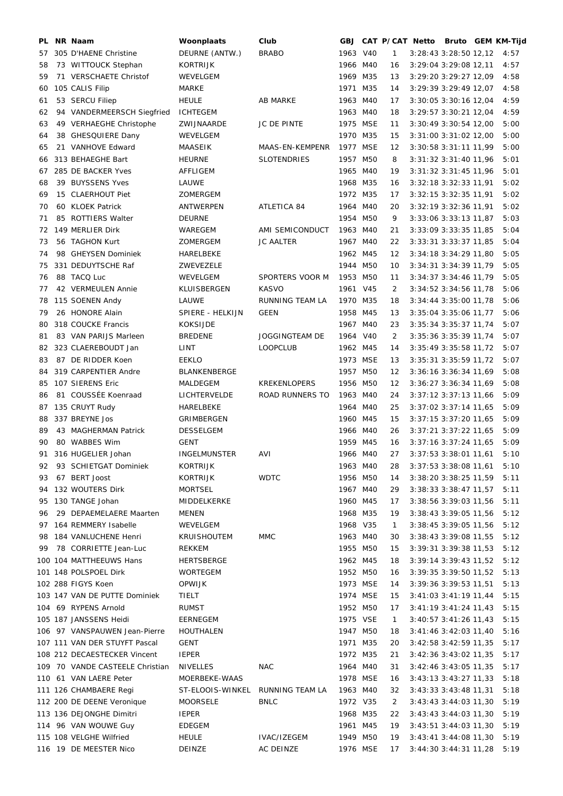| PL | NR Naam                         | Woonplaats          | Club                | <b>GBJ</b> |              | CAT P/CAT Netto Bruto GEM KM-Tijd |      |
|----|---------------------------------|---------------------|---------------------|------------|--------------|-----------------------------------|------|
| 57 | 305 D'HAENE Christine           | DEURNE (ANTW.)      | <b>BRABO</b>        | 1963 V40   | 1            | 3:28:43 3:28:50 12,12             | 4:57 |
| 58 | 73 WITTOUCK Stephan             | <b>KORTRIJK</b>     |                     | 1966 M40   | 16           | 3:29:04 3:29:08 12,11             | 4:57 |
| 59 | 71 VERSCHAETE Christof          | WEVELGEM            |                     | 1969 M35   | 13           | 3:29:20 3:29:27 12,09             | 4:58 |
| 60 | 105 CALIS Filip                 | MARKE               |                     | 1971 M35   | 14           | 3:29:39 3:29:49 12,07             | 4:58 |
| 61 | 53 SERCU Filiep                 | <b>HEULE</b>        | <b>AB MARKE</b>     | 1963 M40   | 17           | 3:30:05 3:30:16 12,04             | 4:59 |
| 62 | 94 VANDERMEERSCH Siegfried      | <b>ICHTEGEM</b>     |                     | 1963 M40   | 18           | $3:29:57$ $3:30:21$ 12,04         | 4:59 |
| 63 | 49 VERHAEGHE Christophe         | ZWIJNAARDE          | JC DE PINTE         | 1975 MSE   | 11           | 3:30:49 3:30:54 12,00             | 5:00 |
| 64 | 38 GHESQUIERE Dany              | WEVELGEM            |                     | 1970 M35   | 15           | $3:31:00$ $3:31:02$ 12,00         | 5:00 |
| 65 | 21 VANHOVE Edward               | MAASEIK             | MAAS-EN-KEMPENR     | 1977 MSE   | 12           | 3:30:58 3:31:11 11,99             | 5:00 |
| 66 | 313 BEHAEGHE Bart               | <b>HEURNE</b>       | <b>SLOTENDRIES</b>  | 1957 M50   | 8            | 3:31:32 3:31:40 11,96             | 5:01 |
| 67 | 285 DE BACKER Yves              | AFFLIGEM            |                     | 1965 M40   | 19           | $3:31:32$ $3:31:45$ 11,96         | 5:01 |
| 68 | 39 BUYSSENS Yves                | LAUWE               |                     | 1968 M35   | 16           | 3:32:18 3:32:33 11,91             | 5:02 |
| 69 | 15 CLAERHOUT Piet               | ZOMERGEM            |                     | 1972 M35   | 17           | 3:32:15 3:32:35 11,91             | 5:02 |
| 70 | 60 KLOEK Patrick                | ANTWERPEN           | ATLETICA 84         | 1964 M40   | 20           |                                   | 5:02 |
|    |                                 |                     |                     |            |              | 3:32:19 3:32:36 11,91             |      |
| 71 | 85 ROTTIERS Walter              | DEURNE              |                     | 1954 M50   | 9            | 3:33:06 3:33:13 11,87             | 5:03 |
| 72 | 149 MERLIER Dirk                | WAREGEM             | AMI SEMICONDUCT     | 1963 M40   | 21           | 3:33:09 3:33:35 11,85             | 5:04 |
| 73 | 56 TAGHON Kurt                  | ZOMERGEM            | <b>JC AALTER</b>    | 1967 M40   | 22           | 3:33:31 3:33:37 11,85             | 5:04 |
| 74 | 98 GHEYSEN Dominiek             | HARELBEKE           |                     | 1962 M45   | 12           | $3:34:18$ $3:34:29$ 11,80         | 5:05 |
| 75 | 331 DEDUYTSCHE Raf              | ZWEVEZELE           |                     | 1944 M50   | 10           | 3:34:31 3:34:39 11,79             | 5:05 |
| 76 | 88 TACQ Luc                     | WEVELGEM            | SPORTERS VOOR M     | 1953 M50   | 11           | 3:34:37 3:34:46 11,79             | 5:05 |
| 77 | 42 VERMEULEN Annie              | KLUISBERGEN         | <b>KASVO</b>        | 1961 V45   | 2            | 3:34:52 3:34:56 11,78             | 5:06 |
| 78 | 115 SOENEN Andy                 | LAUWE               | RUNNING TEAM LA     | 1970 M35   | 18           | 3:34:44 3:35:00 11,78             | 5:06 |
| 79 | 26 HONORE Alain                 | SPIERE - HELKIJN    | <b>GEEN</b>         | 1958 M45   | 13           | 3:35:04 3:35:06 11,77             | 5:06 |
| 80 | 318 COUCKE Francis              | <b>KOKSIJDE</b>     |                     | 1967 M40   | 23           | 3:35:34 3:35:37 11,74             | 5:07 |
| 81 | 83 VAN PARIJS Marleen           | <b>BREDENE</b>      | JOGGINGTEAM DE      | 1964 V40   | 2            | 3:35:36 3:35:39 11,74             | 5:07 |
| 82 | 323 CLAEREBOUDT Jan             | LINT                | <b>LOOPCLUB</b>     | 1962 M45   | 14           | 3:35:49 3:35:58 11,72             | 5:07 |
| 83 | 87 DE RIDDER Koen               | <b>EEKLO</b>        |                     | 1973 MSE   | 13           | 3:35:31 3:35:59 11,72             | 5:07 |
| 84 | 319 CARPENTIER Andre            | <b>BLANKENBERGE</b> |                     | 1957 M50   | 12           | $3:36:16$ $3:36:34$ 11,69         | 5:08 |
| 85 | 107 SIERENS Eric                | MALDEGEM            | <b>KREKENLOPERS</b> | 1956 M50   | 12           | 3:36:27 3:36:34 11,69             | 5:08 |
| 86 | 81 COUSSÉE Koenraad             | LICHTERVELDE        | ROAD RUNNERS TO     | 1963 M40   | 24           | $3:37:12$ $3:37:13$ 11,66         | 5:09 |
| 87 | 135 CRUYT Rudy                  | HARELBEKE           |                     | 1964 M40   | 25           | $3:37:02$ $3:37:14$ 11,65         | 5:09 |
| 88 | 337 BREYNE Jos                  | GRIMBERGEN          |                     | 1960 M45   | 15           | 3:37:15 3:37:20 11,65             | 5:09 |
| 89 | 43 MAGHERMAN Patrick            | <b>DESSELGEM</b>    |                     | 1966 M40   | 26           | 3:37:21 3:37:22 11,65             | 5:09 |
| 90 | 80 WABBES Wim                   | <b>GENT</b>         |                     | 1959 M45   | 16           | $3:37:16$ $3:37:24$ 11,65         | 5:09 |
| 91 | 316 HUGELIER Johan              | <b>INGELMUNSTER</b> | AVI                 | 1966 M40   | 27           | $3:37:53$ $3:38:01$ 11,61         | 5:10 |
| 92 | 93 SCHIETGAT Dominiek           | <b>KORTRIJK</b>     |                     | 1963 M40   | 28           | 3:37:53 3:38:08 11,61             | 5:10 |
|    |                                 |                     |                     |            |              |                                   |      |
| 93 | 67 BERT Joost                   | <b>KORTRIJK</b>     | <b>WDTC</b>         | 1956 M50   | 14           | 3:38:20 3:38:25 11,59             | 5:11 |
| 94 | 132 WOUTERS Dirk                | <b>MORTSEL</b>      |                     | 1967 M40   | 29           | 3:38:33 3:38:47 11,57             | 5:11 |
| 95 | 130 TANGE Johan                 | MIDDELKERKE         |                     | 1960 M45   | 17           | 3:38:56 3:39:03 11,56             | 5:11 |
| 96 | 29 DEPAEMELAERE Maarten         | MENEN               |                     | 1968 M35   | 19           | 3:38:43 3:39:05 11,56             | 5:12 |
| 97 | 164 REMMERY Isabelle            | WEVELGEM            |                     | 1968 V35   | $\mathbf{1}$ | 3:38:45 3:39:05 11,56             | 5:12 |
| 98 | 184 VANLUCHENE Henri            | <b>KRUISHOUTEM</b>  | <b>MMC</b>          | 1963 M40   | 30           | 3:38:433:39:0811,55               | 5:12 |
| 99 | 78 CORRIETTE Jean-Luc           | REKKEM              |                     | 1955 M50   | 15           | 3:39:31 3:39:38 11,53             | 5:12 |
|    | 100 104 MATTHEEUWS Hans         | <b>HERTSBERGE</b>   |                     | 1962 M45   | 18           | 3:39:14 3:39:43 11,52             | 5:12 |
|    | 101 148 POLSPOEL Dirk           | <b>WORTEGEM</b>     |                     | 1952 M50   | 16           | 3:39:35 3:39:50 11,52             | 5:13 |
|    | 102 288 FIGYS Koen              | <b>OPWIJK</b>       |                     | 1973 MSE   | 14           | 3:39:36 3:39:53 11,51             | 5:13 |
|    | 103 147 VAN DE PUTTE Dominiek   | TIELT               |                     | 1974 MSE   | 15           | 3:41:03 3:41:19 11,44             | 5:15 |
|    | 104 69 RYPENS Arnold            | <b>RUMST</b>        |                     | 1952 M50   | 17           | $3:41:19$ $3:41:24$ 11,43         | 5:15 |
|    | 105 187 JANSSENS Heidi          | EERNEGEM            |                     | 1975 VSE   | 1            | 3:40:57 3:41:26 11,43             | 5:15 |
|    | 106 97 VANSPAUWEN Jean-Pierre   | <b>HOUTHALEN</b>    |                     | 1947 M50   | 18           | 3:41:46 3:42:03 11,40             | 5:16 |
|    | 107 111 VAN DER STUYFT Pascal   | <b>GENT</b>         |                     | 1971 M35   | 20           | 3:42:58 3:42:59 11,35             | 5:17 |
|    | 108 212 DECAESTECKER Vincent    | <b>IEPER</b>        |                     | 1972 M35   | 21           | $3:42:36$ $3:43:02$ 11,35         | 5:17 |
|    | 109 70 VANDE CASTEELE Christian | <b>NIVELLES</b>     | <b>NAC</b>          | 1964 M40   | 31           | $3:42:46$ $3:43:05$ 11,35         | 5:17 |
|    | 110 61 VAN LAERE Peter          | MOERBEKE-WAAS       |                     | 1978 MSE   | 16           | $3:43:13$ $3:43:27$ 11,33         | 5:18 |
|    | 111 126 CHAMBAERE Regi          | ST-ELOOIS-WINKEL    | RUNNING TEAM LA     | 1963 M40   | 32           | $3:43:33$ $3:43:48$ 11,31         | 5:18 |
|    | 112 200 DE DEENE Veronique      | MOORSELE            | <b>BNLC</b>         | 1972 V35   | 2            | $3:43:43$ $3:44:03$ 11,30         | 5:19 |
|    | 113 136 DEJONGHE Dimitri        | <b>IEPER</b>        |                     | 1968 M35   | 22           | 3:43:43:3:44:03:11,30             | 5:19 |
|    | 114 96 VAN WOUWE Guy            | EDEGEM              |                     | 1961 M45   | 19           | $3:43:51$ $3:44:03$ 11,30         | 5:19 |
|    | 115 108 VELGHE Wilfried         | <b>HEULE</b>        | IVAC/IZEGEM         | 1949 M50   | 19           | 3:43:41 3:44:08 11,30             | 5:19 |
|    |                                 |                     |                     |            |              |                                   |      |
|    | 116 19 DE MEESTER Nico          | DEINZE              | AC DEINZE           | 1976 MSE   | 17           | 3:44:30 3:44:31 11,28             | 5:19 |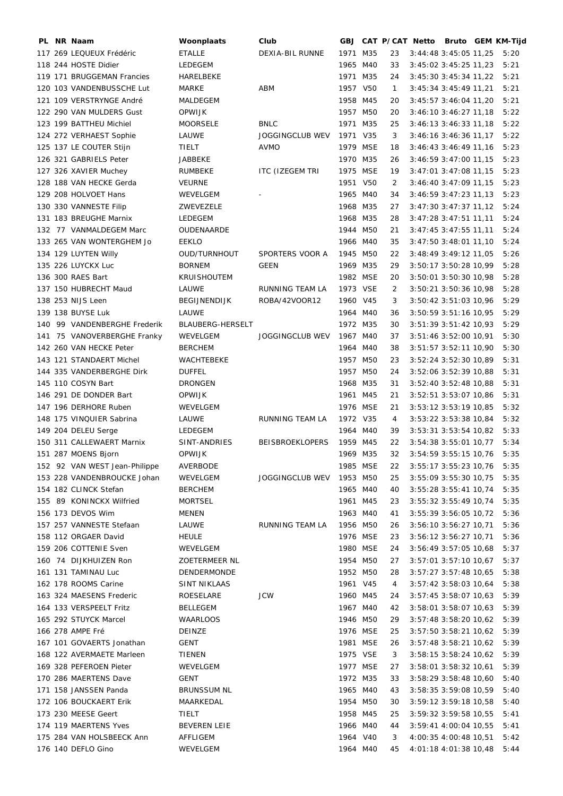|     | PL NR Naam                    | Woonplaats              | Club                   |          |              | GBJ CAT P/CAT Netto Bruto GEM KM-Tijd |                           |      |
|-----|-------------------------------|-------------------------|------------------------|----------|--------------|---------------------------------------|---------------------------|------|
|     | 117 269 LEQUEUX Frédéric      | <b>ETALLE</b>           | DEXIA-BIL RUNNE        | 1971 M35 | 23           |                                       | 3:44:48 3:45:05 11,25     | 5:20 |
|     | 118 244 HOSTE Didier          | LEDEGEM                 |                        | 1965 M40 | 33           |                                       | $3:45:02$ $3:45:25$ 11,23 | 5:21 |
|     | 119 171 BRUGGEMAN Francies    | HARELBEKE               |                        | 1971 M35 | 24           |                                       | $3:45:30$ $3:45:34$ 11,22 | 5:21 |
|     | 120 103 VANDENBUSSCHE Lut     | MARKE                   | ABM                    | 1957 V50 | $\mathbf{1}$ |                                       | $3:45:34$ $3:45:49$ 11,21 | 5:21 |
|     | 121 109 VERSTRYNGE André      | MALDEGEM                |                        | 1958 M45 | 20           |                                       | 3:45:57 3:46:04 11,20     | 5:21 |
|     | 122 290 VAN MULDERS Gust      | <b>OPWIJK</b>           |                        | 1957 M50 | 20           |                                       | $3:46:10$ $3:46:27$ 11,18 | 5:22 |
|     | 123 199 BATTHEU Michiel       | <b>MOORSELE</b>         | <b>BNLC</b>            | 1971 M35 | 25           |                                       | $3:46:13$ $3:46:33$ 11,18 | 5:22 |
|     | 124 272 VERHAEST Sophie       | LAUWE                   | <b>JOGGINGCLUB WEV</b> | 1971 V35 | 3            |                                       | 3:46:16 3:46:36 11,17     | 5:22 |
|     | 125 137 LE COUTER Stijn       | TIELT                   | <b>AVMO</b>            | 1979 MSE | 18           |                                       | 3:46:43 3:46:49 11,16     | 5:23 |
|     | 126 321 GABRIELS Peter        | JABBEKE                 |                        | 1970 M35 | 26           |                                       | 3:46:59 3:47:00 11,15     | 5:23 |
|     | 127 326 XAVIER Muchey         | RUMBEKE                 | ITC (IZEGEM TRI        | 1975 MSE | 19           |                                       | 3:47:01 3:47:08 11,15     | 5:23 |
|     |                               |                         |                        |          |              |                                       |                           |      |
|     | 128 188 VAN HECKE Gerda       | <b>VEURNE</b>           |                        | 1951 V50 | 2            |                                       | 3:46:40 3:47:09 11,15     | 5:23 |
|     | 129 208 HOLVOET Hans          | WEVELGEM                |                        | 1965 M40 | 34           |                                       | 3:46:593:2311,13          | 5:23 |
|     | 130 330 VANNESTE Filip        | ZWEVEZELE               |                        | 1968 M35 | 27           |                                       | 3:47:30 3:47:37 11,12     | 5:24 |
|     | 131 183 BREUGHE Marnix        | LEDEGEM                 |                        | 1968 M35 | 28           |                                       | $3:47:28$ $3:47:51$ 11,11 | 5:24 |
|     | 132 77 VANMALDEGEM Marc       | OUDENAARDE              |                        | 1944 M50 | 21           |                                       | $3:47:45$ $3:47:55$ 11,11 | 5:24 |
|     | 133 265 VAN WONTERGHEM Jo     | <b>EEKLO</b>            |                        | 1966 M40 | 35           |                                       | 3:47:50 3:48:01 11,10     | 5:24 |
|     | 134 129 LUYTEN Willy          | OUD/TURNHOUT            | SPORTERS VOOR A        | 1945 M50 | 22           |                                       | 3:48:49 3:49:12 11,05     | 5:26 |
|     | 135 226 LUYCKX Luc            | <b>BORNEM</b>           | GEEN                   | 1969 M35 | 29           |                                       | 3:50:17 3:50:28 10,99     | 5:28 |
|     | 136 300 RAES Bart             | <b>KRUISHOUTEM</b>      |                        | 1982 MSE | 20           |                                       | 3:50:01 3:50:30 10,98     | 5:28 |
|     | 137 150 HUBRECHT Maud         | LAUWE                   | RUNNING TEAM LA        | 1973 VSE | 2            |                                       | 3:50:21 3:50:36 10,98     | 5:28 |
|     | 138 253 NIJS Leen             | <b>BEGIJNENDIJK</b>     | ROBA/42VOOR12          | 1960 V45 | 3            |                                       | 3:50:42 3:51:03 10,96     | 5:29 |
|     | 139 138 BUYSE Luk             | LAUWE                   |                        | 1964 M40 | 36           |                                       | 3:50:59 3:51:16 10,95     | 5:29 |
| 140 | 99 VANDENBERGHE Frederik      | <b>BLAUBERG-HERSELT</b> |                        | 1972 M35 | 30           |                                       | 3:51:39 3:51:42 10,93     | 5:29 |
|     | 141 75 VANOVERBERGHE Franky   | WEVELGEM                | <b>JOGGINGCLUB WEV</b> | 1967 M40 | 37           |                                       | 3:51:46 3:52:00 10,91     | 5:30 |
|     | 142 260 VAN HECKE Peter       | <b>BERCHEM</b>          |                        | 1964 M40 | 38           |                                       | 3:51:57 3:52:11 10,90     | 5:30 |
|     | 143 121 STANDAERT Michel      | WACHTEBEKE              |                        | 1957 M50 | 23           |                                       | 3:52:24 3:52:30 10,89     | 5:31 |
|     | 144 335 VANDERBERGHE Dirk     | <b>DUFFEL</b>           |                        | 1957 M50 | 24           |                                       | 3:52:06 3:52:39 10,88     | 5:31 |
|     | 145 110 COSYN Bart            | <b>DRONGEN</b>          |                        | 1968 M35 | 31           |                                       | 3:52:40 3:52:48 10,88     | 5:31 |
|     | 146 291 DE DONDER Bart        | <b>OPWIJK</b>           |                        | 1961 M45 | 21           |                                       | 3:52:51 3:53:07 10,86     | 5:31 |
|     | 147 196 DERHORE Ruben         | WEVELGEM                |                        | 1976 MSE | 21           |                                       | 3:53:12 3:53:19 10,85     | 5:32 |
|     | 148 175 VINQUIER Sabrina      | LAUWE                   | RUNNING TEAM LA        | 1972 V35 | 4            |                                       | 3:53:22 3:53:38 10,84     | 5:32 |
|     | 149 204 DELEU Serge           | LEDEGEM                 |                        | 1964 M40 | 39           |                                       | 3:53:31 3:53:54 10,82     | 5:33 |
|     | 150 311 CALLEWAERT Marnix     | SINT-ANDRIES            | <b>BEISBROEKLOPERS</b> | 1959 M45 | 22           |                                       | 3:54:38 3:55:01 10,77     | 5:34 |
|     |                               |                         |                        |          |              |                                       |                           |      |
|     | 151 287 MOENS Bjorn           | <b>OPWIJK</b>           |                        | 1969 M35 | 32           |                                       | 3:54:59 3:55:15 10,76     | 5:35 |
|     | 152 92 VAN WEST Jean-Philippe | AVERBODE                |                        | 1985 MSE | 22           | 3:55:17 3:55:23 10,76                 |                           | 5:35 |
|     | 153 228 VANDENBROUCKE Johan   | WEVELGEM                | JOGGINGCLUB WEV        | 1953 M50 | 25           |                                       | 3:55:09 3:55:30 10,75     | 5:35 |
|     | 154 182 CLINCK Stefan         | <b>BERCHEM</b>          |                        | 1965 M40 | 40           |                                       | 3:55:28 3:55:41 10,74     | 5:35 |
|     | 155 89 KONINCKX Wilfried      | <b>MORTSEL</b>          |                        | 1961 M45 | 23           |                                       | 3:55:32 3:55:49 10,74     | 5:35 |
|     | 156 173 DEVOS Wim             | MENEN                   |                        | 1963 M40 | 41           |                                       | 3:55:39 3:56:05 10,72     | 5:36 |
|     | 157 257 VANNESTE Stefaan      | LAUWE                   | RUNNING TEAM LA        | 1956 M50 | 26           |                                       | 3:56:10 3:56:27 10,71     | 5:36 |
|     | 158 112 ORGAER David          | <b>HEULE</b>            |                        | 1976 MSE | 23           |                                       | 3:56:12 3:56:27 10,71     | 5:36 |
|     | 159 206 COTTENIE Sven         | WEVELGEM                |                        | 1980 MSE | 24           |                                       | 3:56:49 3:57:05 10,68     | 5:37 |
|     | 160 74 DIJKHUIZEN Ron         | <b>ZOETERMEER NL</b>    |                        | 1954 M50 | 27           |                                       | 3:57:01 3:57:10 10,67     | 5:37 |
|     | 161 131 TAMINAU Luc           | DENDERMONDE             |                        | 1952 M50 | 28           |                                       | 3:57:27 3:57:48 10,65     | 5:38 |
|     | 162 178 ROOMS Carine          | <b>SINT NIKLAAS</b>     |                        | 1961 V45 | 4            |                                       | 3:57:42 3:58:03 10,64     | 5:38 |
|     | 163 324 MAESENS Frederic      | ROESELARE               | <b>JCW</b>             | 1960 M45 | 24           |                                       | 3:57:45 3:58:07 10,63     | 5:39 |
|     | 164 133 VERSPEELT Fritz       | <b>BELLEGEM</b>         |                        | 1967 M40 | 42           |                                       | 3:58:01 3:58:07 10,63     | 5:39 |
|     | 165 292 STUYCK Marcel         | <b>WAARLOOS</b>         |                        | 1946 M50 | 29           |                                       | 3:57:48 3:58:20 10,62     | 5:39 |
|     | 166 278 AMPE Fré              | DEINZE                  |                        | 1976 MSE | 25           |                                       | 3:57:50 3:58:21 10,62     | 5:39 |
|     | 167 101 GOVAERTS Jonathan     | GENT                    |                        | 1981 MSE | 26           |                                       | 3:57:48 3:58:21 10,62     | 5:39 |
|     | 168 122 AVERMAETE Marleen     | TIENEN                  |                        | 1975 VSE | 3            |                                       | 3:58:15 3:58:24 10,62     | 5:39 |
|     | 169 328 PEFEROEN Pieter       | WEVELGEM                |                        | 1977 MSE | 27           |                                       | 3:58:01 3:58:32 10,61     | 5:39 |
|     | 170 286 MAERTENS Dave         | <b>GENT</b>             |                        | 1972 M35 | 33           |                                       | 3:58:29 3:58:48 10,60     | 5:40 |
|     | 171 158 JANSSEN Panda         | <b>BRUNSSUM NL</b>      |                        | 1965 M40 | 43           |                                       | 3:58:35 3:59:08 10,59     | 5:40 |
|     | 172 106 BOUCKAERT Erik        | MAARKEDAL               |                        | 1954 M50 | 30           |                                       | 3:59:12 3:59:18 10,58     | 5:40 |
|     | 173 230 MEESE Geert           | TIELT                   |                        | 1958 M45 | 25           |                                       | 3:59:32 3:59:58 10,55     | 5:41 |
|     | 174 119 MAERTENS Yves         |                         |                        |          |              |                                       |                           |      |
|     |                               | <b>BEVEREN LEIE</b>     |                        | 1966 M40 | 44           |                                       | 3:59:41 4:00:04 10,55     | 5:41 |
|     | 175 284 VAN HOLSBEECK Ann     | AFFLIGEM                |                        | 1964 V40 | 3            |                                       | 4:00:35 4:00:48 10,51     | 5:42 |
|     | 176 140 DEFLO Gino            | WEVELGEM                |                        | 1964 M40 | 45           |                                       | 4:01:18 4:01:38 10,48     | 5:44 |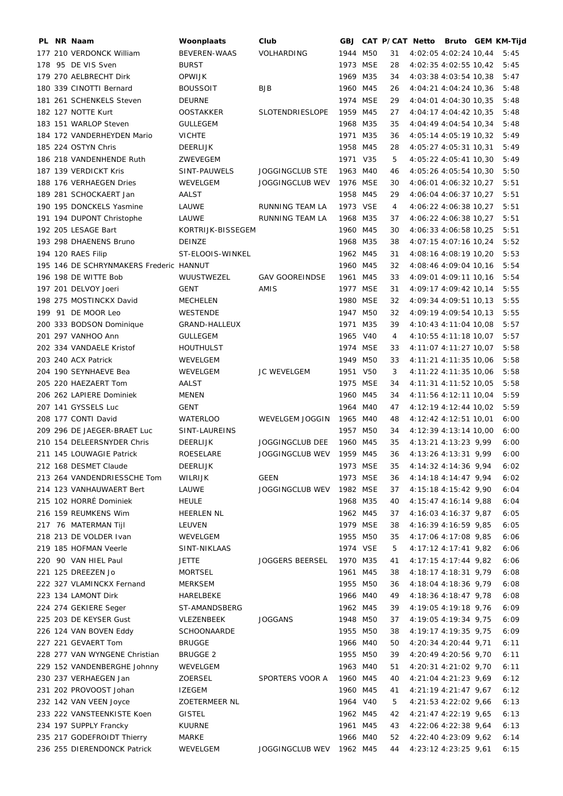|     | PL NR Naam                              | Woonplaats           | Club                   |          |    | GBJ CAT P/CAT Netto Bruto GEM KM-Tijd |                            |      |
|-----|-----------------------------------------|----------------------|------------------------|----------|----|---------------------------------------|----------------------------|------|
|     | 177 210 VERDONCK William                | BEVEREN-WAAS         | VOLHARDING             | 1944 M50 | 31 | 4:02:05 4:02:24 10,44                 |                            | 5:45 |
|     | 178 95 DE VIS Sven                      | <b>BURST</b>         |                        | 1973 MSE | 28 | 4:02:35 4:02:55 10,42                 |                            | 5:45 |
|     | 179 270 AELBRECHT Dirk                  | OPWIJK               |                        | 1969 M35 | 34 | 4:03:38 4:03:54 10,38                 |                            | 5:47 |
|     | 180 339 CINOTTI Bernard                 | <b>BOUSSOIT</b>      | <b>BJB</b>             | 1960 M45 | 26 | 4:04:21 4:04:24 10,36                 |                            | 5:48 |
|     | 181 261 SCHENKELS Steven                | <b>DEURNE</b>        |                        | 1974 MSE | 29 | 4:04:01 4:04:30 10.35                 |                            | 5:48 |
|     | 182 127 NOTTE Kurt                      | OOSTAKKER            | <b>SLOTENDRIESLOPE</b> | 1959 M45 | 27 |                                       | 4:04:17 4:04:42 10,35      | 5:48 |
|     | 183 151 WARLOP Steven                   | <b>GULLEGEM</b>      |                        | 1968 M35 | 35 |                                       | 4:04:49 4:04:54 10,34      | 5:48 |
|     | 184 172 VANDERHEYDEN Mario              | <b>VICHTE</b>        |                        | 1971 M35 | 36 |                                       | 4:05:14 4:05:19 10,32      | 5:49 |
|     | 185 224 OSTYN Chris                     | DEERLIJK             |                        | 1958 M45 | 28 |                                       | 4:05:27 4:05:31 10,31      | 5:49 |
|     | 186 218 VANDENHENDE Ruth                | ZWEVEGEM             |                        | 1971 V35 | 5  |                                       | 4:05:22 4:05:41 10,30      | 5:49 |
|     | 187 139 VERDICKT Kris                   | SINT-PAUWELS         | <b>JOGGINGCLUB STE</b> | 1963 M40 | 46 |                                       | 4:05:26 4:05:54 10,30      | 5:50 |
|     | 188 176 VERHAEGEN Dries                 | WEVELGEM             | <b>JOGGINGCLUB WEV</b> | 1976 MSE | 30 |                                       | 4:06:01 4:06:32 10,27      | 5:51 |
|     | 189 281 SCHOCKAERT Jan                  | AALST                |                        | 1958 M45 | 29 | 4:06:04 4:06:37 10,27                 |                            | 5:51 |
|     | 190 195 DONCKELS Yasmine                | LAUWE                | RUNNING TEAM LA        | 1973 VSE | 4  |                                       | 4:06:22 4:06:38 10,27      | 5:51 |
|     | 191 194 DUPONT Christophe               |                      | RUNNING TEAM LA        | 1968 M35 | 37 |                                       |                            | 5:51 |
|     |                                         | LAUWE                |                        |          |    |                                       | 4:06:22 4:06:38 10,27      |      |
|     | 192 205 LESAGE Bart                     | KORTRIJK-BISSEGEM    |                        | 1960 M45 | 30 | 4:06:33 4:06:58 10,25                 |                            | 5:51 |
|     | 193 298 DHAENENS Bruno                  | DEINZE               |                        | 1968 M35 | 38 | 4:07:15 4:07:16 10,24                 |                            | 5:52 |
|     | 194 120 RAES Filip                      | ST-ELOOIS-WINKEL     |                        | 1962 M45 | 31 |                                       | 4:08:16 4:08:19 10,20      | 5:53 |
|     | 195 146 DE SCHRYNMAKERS Frederic HANNUT |                      |                        | 1960 M45 | 32 |                                       | 4:08:46 4:09:04 10.16      | 5:54 |
|     | 196 198 DE WITTE Bob                    | WUUSTWEZEL           | <b>GAV GOOREINDSE</b>  | 1961 M45 | 33 |                                       | 4:09:01 4:09:11 10,16      | 5:54 |
|     | 197 201 DELVOY Joeri                    | GENT                 | AMIS                   | 1977 MSE | 31 |                                       | 4:09:17 4:09:42 10,14      | 5:55 |
|     | 198 275 MOSTINCKX David                 | <b>MECHELEN</b>      |                        | 1980 MSE | 32 | 4:09:34 4:09:51 10,13                 |                            | 5:55 |
|     | 199 91 DE MOOR Leo                      | WESTENDE             |                        | 1947 M50 | 32 | 4:09:19 4:09:54 10,13                 |                            | 5:55 |
|     | 200 333 BODSON Dominique                | <b>GRAND-HALLEUX</b> |                        | 1971 M35 | 39 |                                       | 4:10:43 4:11:04 10,08      | 5:57 |
|     | 201 297 VANHOO Ann                      | <b>GULLEGEM</b>      |                        | 1965 V40 | 4  |                                       | 4:10:55 4:11:18 10,07      | 5:57 |
|     | 202 334 VANDAELE Kristof                | <b>HOUTHULST</b>     |                        | 1974 MSE | 33 | 4:11:07 4:11:27 10,07                 |                            | 5:58 |
|     | 203 240 ACX Patrick                     | WEVELGEM             |                        | 1949 M50 | 33 | 4:11:21 4:11:35 10,06                 |                            | 5:58 |
|     | 204 190 SEYNHAEVE Bea                   | WEVELGEM             | <b>JC WEVELGEM</b>     | 1951 V50 | 3  |                                       | 4:11:22 4:11:35 10,06      | 5:58 |
|     | 205 220 HAEZAERT Tom                    | AALST                |                        | 1975 MSE | 34 | 4:11:31 4:11:52 10,05                 |                            | 5:58 |
|     | 206 262 LAPIERE Dominiek                | MENEN                |                        | 1960 M45 | 34 |                                       | 4:11:56 4:12:11 10,04      | 5:59 |
|     | 207 141 GYSSELS Luc                     | <b>GENT</b>          |                        | 1964 M40 | 47 |                                       | 4:12:19 4:12:44 10,02      | 5:59 |
|     | 208 177 CONTI David                     | <b>WATERLOO</b>      | WEVELGEM JOGGIN        | 1965 M40 | 48 |                                       | 4:12:42 4:12:51 10,01      | 6:00 |
|     | 209 296 DE JAEGER-BRAET Luc             | SINT-LAUREINS        |                        | 1957 M50 | 34 |                                       | 4:12:39 4:13:14 10,00      | 6:00 |
|     | 210 154 DELEERSNYDER Chris              | DEERLIJK             | <b>JOGGINGCLUB DEE</b> | 1960 M45 | 35 |                                       | 4:13:21 4:13:23 9,99       | 6:00 |
|     | 211 145 LOUWAGIE Patrick                | ROESELARE            | <b>JOGGINGCLUB WEV</b> | 1959 M45 | 36 | 4:13:26 4:13:31 9,99                  |                            | 6:00 |
|     | 212 168 DESMET Claude                   | DEERLIJK             |                        | 1973 MSE | 35 |                                       | 4:14:32 4:14:36 9,94       | 6:02 |
|     | 213 264 VANDENDRIESSCHE Tom             | WILRIJK              | GEEN                   | 1973 MSE | 36 |                                       | 4:14:18 4:14:47 9,94       | 6:02 |
|     | 214 123 VANHAUWAERT Bert                | LAUWE                | <b>JOGGINGCLUB WEV</b> | 1982 MSE | 37 |                                       | 4:15:18 4:15:42 9,90       | 6:04 |
|     | 215 102 HORRÉ Dominiek                  | <b>HEULE</b>         |                        | 1968 M35 | 40 |                                       | $4:15:47$ 4:16:14 9,88     | 6:04 |
|     | 216 159 REUMKENS Wim                    | HEERLEN NL           |                        | 1962 M45 | 37 |                                       | $4:16:03$ $4:16:37$ $9,87$ | 6:05 |
| 217 | 76 MATERMAN TIJI                        | LEUVEN               |                        | 1979 MSE | 38 |                                       | 4:16:39 4:16:59 9,85       | 6:05 |
|     | 218 213 DE VOLDER Ivan                  | WEVELGEM             |                        | 1955 M50 | 35 |                                       | 4:17:06 4:17:08 9,85       | 6:06 |
|     | 219 185 HOFMAN Veerle                   | SINT-NIKLAAS         |                        | 1974 VSE | 5  |                                       | 4:17:12 4:17:41 9,82       | 6:06 |
|     | 220 90 VAN HIEL Paul                    | JETTE                | <b>JOGGERS BEERSEL</b> | 1970 M35 | 41 |                                       | 4:17:15 4:17:44 9,82       | 6:06 |
|     | 221 125 DREEZEN Jo                      | <b>MORTSEL</b>       |                        | 1961 M45 | 38 |                                       | 4:18:17 4:18:31 9,79       | 6:08 |
|     | 222 327 VLAMINCKX Fernand               | <b>MERKSEM</b>       |                        | 1955 M50 |    |                                       |                            |      |
|     |                                         |                      |                        |          | 36 |                                       | 4:18:04 4:18:36 9,79       | 6:08 |
|     | 223 134 LAMONT Dirk                     | HARELBEKE            |                        | 1966 M40 | 49 |                                       | 4:18:36 4:18:47 9,78       | 6:08 |
|     | 224 274 GEKIERE Seger                   | ST-AMANDSBERG        |                        | 1962 M45 | 39 | 4:19:05 4:19:18 9,76                  |                            | 6:09 |
|     | 225 203 DE KEYSER Gust                  | VLEZENBEEK           | <b>JOGGANS</b>         | 1948 M50 | 37 |                                       | $4:19:05$ $4:19:34$ $9,75$ | 6:09 |
|     | 226 124 VAN BOVEN Eddy                  | <b>SCHOONAARDE</b>   |                        | 1955 M50 | 38 |                                       | 4:19:17 4:19:35 9,75       | 6:09 |
|     | 227 221 GEVAERT Tom                     | <b>BRUGGE</b>        |                        | 1966 M40 | 50 |                                       | 4:20:34 4:20:44 9,71       | 6:11 |
|     | 228 277 VAN WYNGENE Christian           | <b>BRUGGE 2</b>      |                        | 1955 M50 | 39 | 4:20:49 4:20:56 9,70                  |                            | 6:11 |
|     | 229 152 VANDENBERGHE Johnny             | WEVELGEM             |                        | 1963 M40 | 51 |                                       | 4:20:31 4:21:02 9,70       | 6:11 |
|     | 230 237 VERHAEGEN Jan                   | ZOERSEL              | SPORTERS VOOR A        | 1960 M45 | 40 |                                       | 4:21:04 4:21:23 9,69       | 6:12 |
|     | 231 202 PROVOOST Johan                  | <b>IZEGEM</b>        |                        | 1960 M45 | 41 |                                       | 4:21:19 4:21:47 9,67       | 6:12 |
|     | 232 142 VAN VEEN Joyce                  | ZOETERMEER NL        |                        | 1964 V40 | 5  |                                       | 4:21:53 4:22:02 9,66       | 6:13 |
|     | 233 222 VANSTEENKISTE Koen              | <b>GISTEL</b>        |                        | 1962 M45 | 42 |                                       | 4:21:47 4:22:19 9,65       | 6:13 |
|     | 234 197 SUPPLY Francky                  | KUURNE               |                        | 1961 M45 | 43 |                                       | 4:22:06 4:22:38 9,64       | 6:13 |
|     | 235 217 GODEFROIDT Thierry              | MARKE                |                        | 1966 M40 | 52 |                                       | 4:22:40 4:23:09 9,62       | 6:14 |
|     | 236 255 DIERENDONCK Patrick             | WEVELGEM             | <b>JOGGINGCLUB WEV</b> | 1962 M45 | 44 |                                       | $4:23:12$ $4:23:25$ $9,61$ | 6:15 |